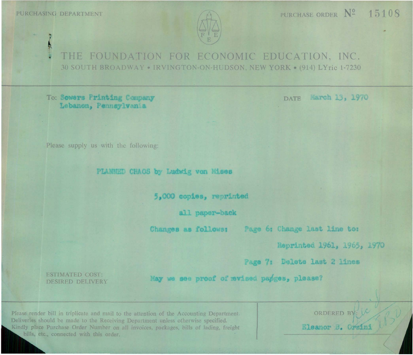PURCHASING DEPARTMENT



THE FOUNDATION FOR ECONOMIC EDUCATION, INC. 30 SOUTH BROADWAY . IRVINGTON-ON-HUDSON, NEW YORK . (914) LYric 1-7230

## To: Sowers Printing Company Lebanon, Pennsylvania

March 13, 1970 **DATE** 

Please supply us with the following:

PLANNED CHAOS by Ludwig von Mises

5,000 copies, reprinted

all naper-back

Changes as follows:

Page 6: Change last line to:

Reprinted 1961, 1965, 1970

Page 7: Delete last 2 lines

**ESTIMATED COST:** DESIRED DELIVERY

May we see proof of mwised papges, please?

Please render bill in triplicate and mail to the attention of the Accounting Department. Deliveries should be made to the Receiving Department unless otherwise specified. Kindly place Purchase Order Number on all invoices, packages, bills of lading, freight bills, etc., connected with this order.

ORDERED BY: Eleanor B. Orsini

PURCHASE ORDER Nº 15108